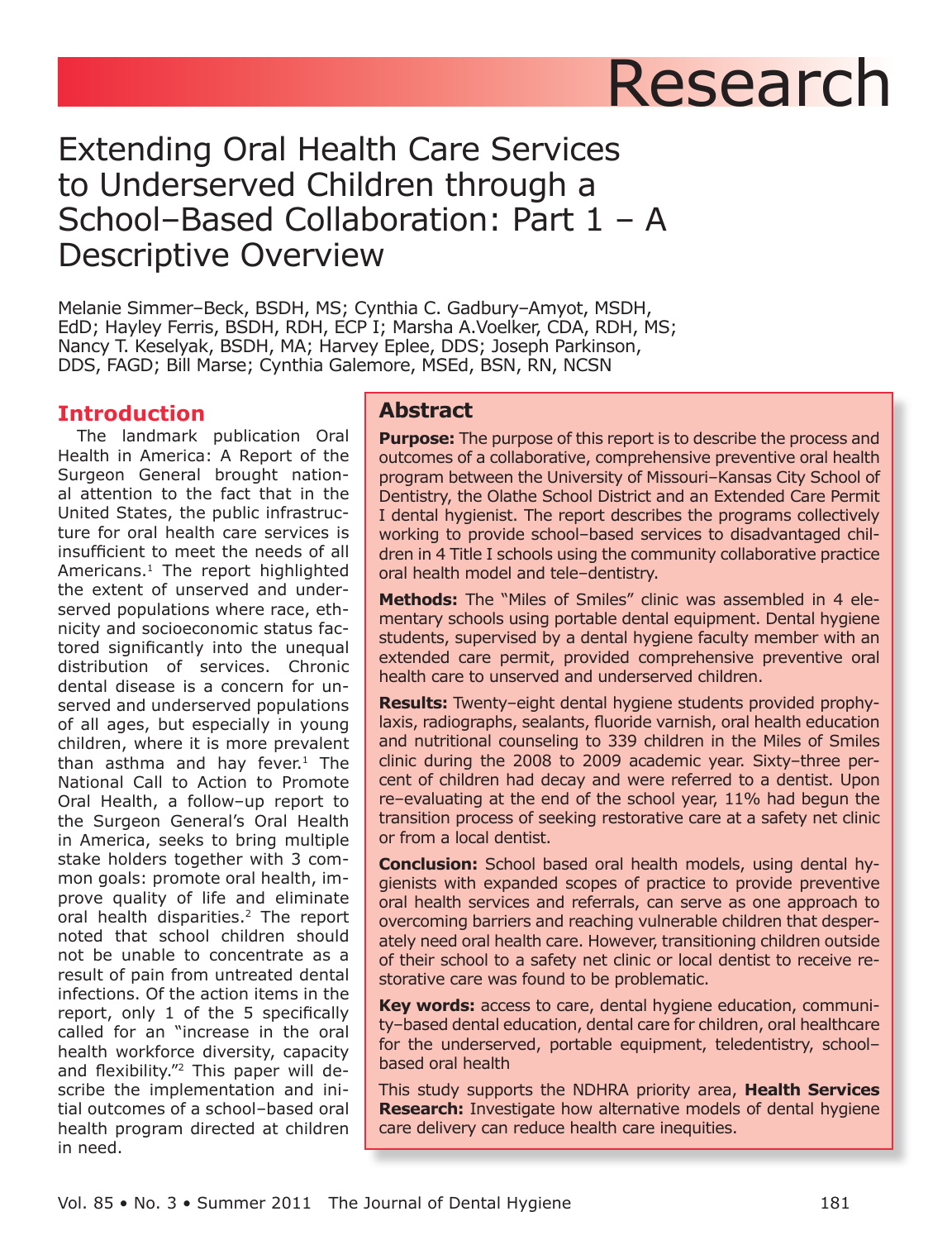# Research

# **Extending Oral Health Care Services** to Underserved Children through a School-Based Collaboration: Part  $1 - A$ **Descriptive Overview**

Melanie Simmer-Beck, BSDH, MS; Cynthia C. Gadbury-Amyot, MSDH, EdD; Hayley Ferris, BSDH, RDH, ECP I; Marsha A.Voelker, CDA, RDH, MS; Nancy T. Keselyak, BSDH, MA; Harvey Eplee, DDS; Joseph Parkinson, DDS, FAGD; Bill Marse; Cynthia Galemore, MSEd, BSN, RN, NCSN

# **Introduction**

The landmark publication Oral Health in America: A Report of the Surgeon General brought national attention to the fact that in the United States, the public infrastructure for oral health care services is insufficient to meet the needs of all Americans.<sup>1</sup> The report highlighted the extent of unserved and underserved populations where race, ethnicity and socioeconomic status factored significantly into the unequal distribution of services. Chronic dental disease is a concern for unserved and underserved populations of all ages, but especially in young children, where it is more prevalent than asthma and hay fever.<sup>1</sup> The National Call to Action to Promote Oral Health, a follow-up report to the Surgeon General's Oral Health in America, seeks to bring multiple stake holders together with 3 common goals: promote oral health, improve quality of life and eliminate oral health disparities.<sup>2</sup> The report noted that school children should not be unable to concentrate as a result of pain from untreated dental infections. Of the action items in the report, only 1 of the 5 specifically called for an "increase in the oral health workforce diversity, capacity and flexibility."<sup>2</sup> This paper will describe the implementation and initial outcomes of a school-based oral health program directed at children in need.

# **Abstract**

**Purpose:** The purpose of this report is to describe the process and outcomes of a collaborative, comprehensive preventive oral health program between the University of Missouri-Kansas City School of Dentistry, the Olathe School District and an Extended Care Permit I dental hygienist. The report describes the programs collectively working to provide school-based services to disadvantaged children in 4 Title I schools using the community collaborative practice oral health model and tele-dentistry.

Methods: The "Miles of Smiles" clinic was assembled in 4 elementary schools using portable dental equipment. Dental hygiene students, supervised by a dental hygiene faculty member with an extended care permit, provided comprehensive preventive oral health care to unserved and underserved children.

**Results:** Twenty-eight dental hygiene students provided prophylaxis, radiographs, sealants, fluoride varnish, oral health education and nutritional counseling to 339 children in the Miles of Smiles clinic during the 2008 to 2009 academic year. Sixty-three percent of children had decay and were referred to a dentist. Upon re-evaluating at the end of the school year, 11% had begun the transition process of seeking restorative care at a safety net clinic or from a local dentist.

**Conclusion:** School based oral health models, using dental hygienists with expanded scopes of practice to provide preventive oral health services and referrals, can serve as one approach to overcoming barriers and reaching vulnerable children that desperately need oral health care. However, transitioning children outside of their school to a safety net clinic or local dentist to receive restorative care was found to be problematic.

Key words: access to care, dental hygiene education, community-based dental education, dental care for children, oral healthcare for the underserved, portable equipment, teledentistry, schoolbased oral health

This study supports the NDHRA priority area, Health Services **Research:** Investigate how alternative models of dental hygiene care delivery can reduce health care inequities.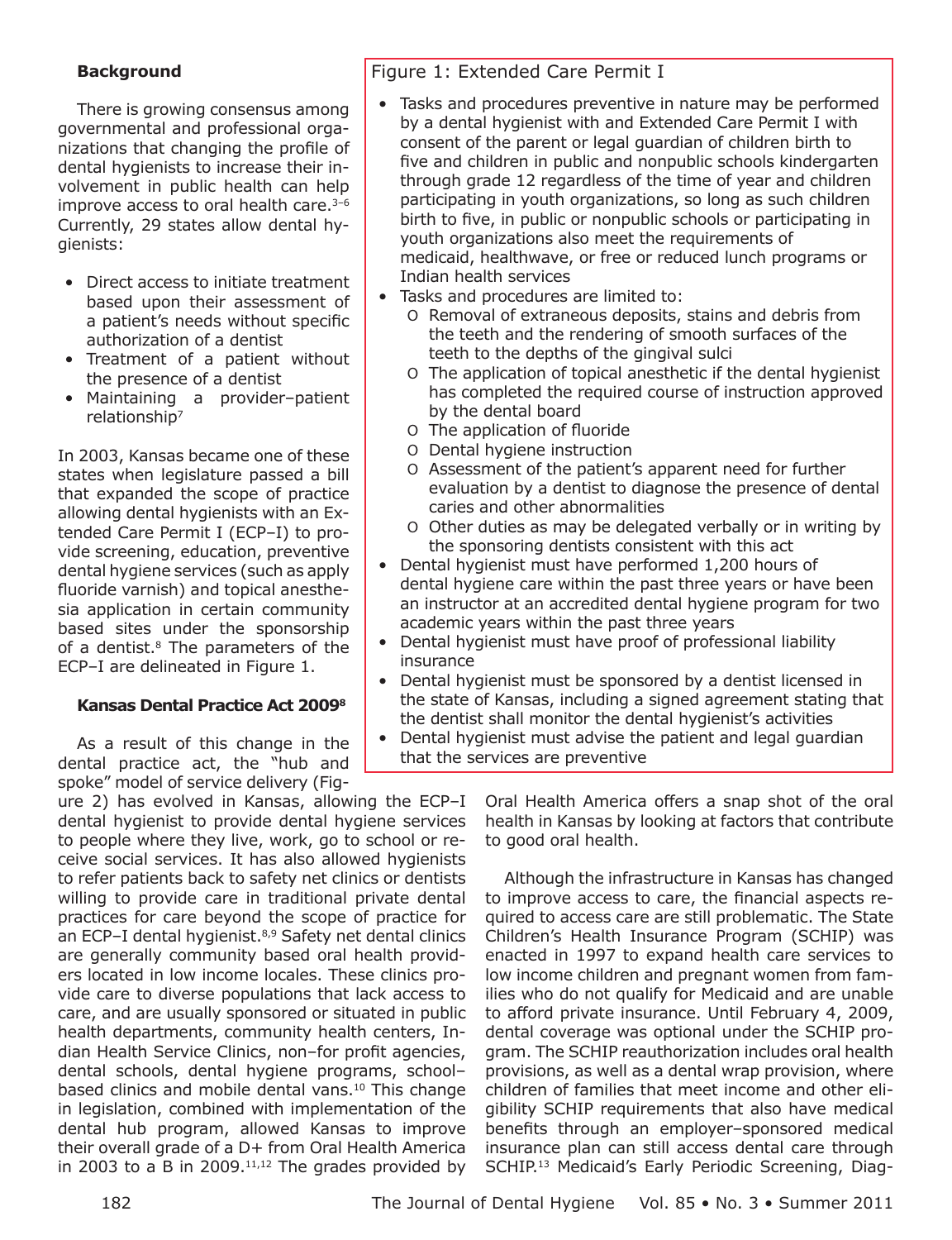#### **Background**

There is growing consensus among governmental and professional organizations that changing the profile of dental hygienists to increase their involvement in public health can help improve access to oral health care.<sup>3-6</sup> Currently, 29 states allow dental hygienists:

- Direct access to initiate treatment based upon their assessment of a patient's needs without specific authorization of a dentist
- Treatment of a patient without the presence of a dentist
- · Maintaining a provider-patient relationship<sup>7</sup>

In 2003, Kansas became one of these states when legislature passed a bill that expanded the scope of practice allowing dental hygienists with an Extended Care Permit I (ECP-I) to provide screening, education, preventive dental hygiene services (such as apply fluoride varnish) and topical anesthesia application in certain community based sites under the sponsorship of a dentist.<sup>8</sup> The parameters of the ECP-I are delineated in Figure 1.

#### **Kansas Dental Practice Act 20098**

As a result of this change in the dental practice act, the "hub and spoke" model of service delivery (Fig-

ure 2) has evolved in Kansas, allowing the ECP-I dental hygienist to provide dental hygiene services to people where they live, work, go to school or receive social services. It has also allowed hygienists to refer patients back to safety net clinics or dentists willing to provide care in traditional private dental practices for care beyond the scope of practice for an ECP-I dental hygienist.<sup>8,9</sup> Safety net dental clinics are generally community based oral health providers located in low income locales. These clinics provide care to diverse populations that lack access to care, and are usually sponsored or situated in public health departments, community health centers, Indian Health Service Clinics, non-for profit agencies, dental schools, dental hygiene programs, schoolbased clinics and mobile dental vans.<sup>10</sup> This change in legislation, combined with implementation of the dental hub program, allowed Kansas to improve their overall grade of a D+ from Oral Health America in 2003 to a B in 2009. $11,12$  The grades provided by

## Figure 1: Extended Care Permit I

- Tasks and procedures preventive in nature may be performed by a dental hygienist with and Extended Care Permit I with consent of the parent or legal guardian of children birth to five and children in public and nonpublic schools kindergarten through grade 12 regardless of the time of year and children participating in youth organizations, so long as such children birth to five, in public or nonpublic schools or participating in youth organizations also meet the requirements of medicaid, healthwave, or free or reduced lunch programs or Indian health services
- Tasks and procedures are limited to:
	- O Removal of extraneous deposits, stains and debris from the teeth and the rendering of smooth surfaces of the teeth to the depths of the gingival sulci
	- O The application of topical anesthetic if the dental hygienist has completed the required course of instruction approved by the dental board
	- O The application of fluoride
	- O Dental hygiene instruction
	- O Assessment of the patient's apparent need for further evaluation by a dentist to diagnose the presence of dental caries and other abnormalities
	- O Other duties as may be delegated verbally or in writing by the sponsoring dentists consistent with this act
- Dental hygienist must have performed 1,200 hours of dental hygiene care within the past three years or have been an instructor at an accredited dental hygiene program for two academic years within the past three years
- Dental hygienist must have proof of professional liability insurance
- Dental hygienist must be sponsored by a dentist licensed in the state of Kansas, including a signed agreement stating that the dentist shall monitor the dental hygienist's activities
- Dental hygienist must advise the patient and legal guardian that the services are preventive

Oral Health America offers a snap shot of the oral health in Kansas by looking at factors that contribute to good oral health.

Although the infrastructure in Kansas has changed to improve access to care, the financial aspects required to access care are still problematic. The State Children's Health Insurance Program (SCHIP) was enacted in 1997 to expand health care services to low income children and pregnant women from families who do not qualify for Medicaid and are unable to afford private insurance. Until February 4, 2009, dental coverage was optional under the SCHIP program. The SCHIP reauthorization includes oral health provisions, as well as a dental wrap provision, where children of families that meet income and other eligibility SCHIP requirements that also have medical benefits through an employer-sponsored medical insurance plan can still access dental care through SCHIP.<sup>13</sup> Medicaid's Early Periodic Screening, Diag-

The Journal of Dental Hygiene Vol. 85 . No. 3 . Summer 2011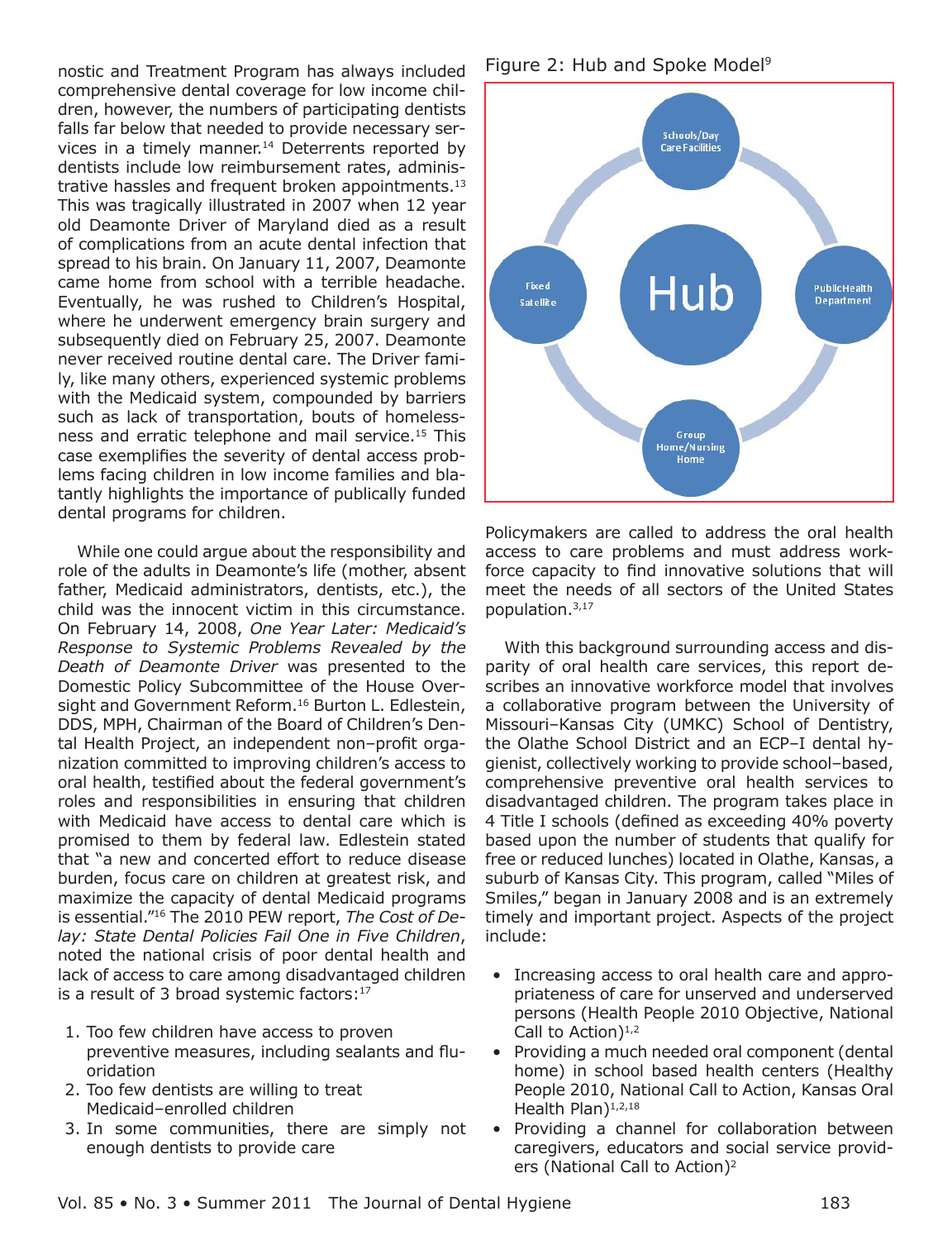nostic and Treatment Program has always included comprehensive dental coverage for low income children, however, the numbers of participating dentists falls far below that needed to provide necessary services in a timely manner.<sup>14</sup> Deterrents reported by dentists include low reimbursement rates, administrative hassles and frequent broken appointments.<sup>13</sup> This was tragically illustrated in 2007 when 12 year old Deamonte Driver of Maryland died as a result of complications from an acute dental infection that spread to his brain. On January 11, 2007, Deamonte came home from school with a terrible headache. Eventually, he was rushed to Children's Hospital, where he underwent emergency brain surgery and subsequently died on February 25, 2007. Deamonte never received routine dental care. The Driver family, like many others, experienced systemic problems with the Medicaid system, compounded by barriers such as lack of transportation, bouts of homelessness and erratic telephone and mail service.<sup>15</sup> This case exemplifies the severity of dental access problems facing children in low income families and blatantly highlights the importance of publically funded dental programs for children.

While one could argue about the responsibility and role of the adults in Deamonte's life (mother, absent father, Medicaid administrators, dentists, etc.), the child was the innocent victim in this circumstance. On February 14, 2008, One Year Later: Medicaid's Response to Systemic Problems Revealed by the Death of Deamonte Driver was presented to the Domestic Policy Subcommittee of the House Oversight and Government Reform.<sup>16</sup> Burton L. Edlestein, DDS, MPH, Chairman of the Board of Children's Dental Health Project, an independent non-profit organization committed to improving children's access to oral health, testified about the federal government's roles and responsibilities in ensuring that children with Medicaid have access to dental care which is promised to them by federal law. Edlestein stated that "a new and concerted effort to reduce disease burden, focus care on children at greatest risk, and maximize the capacity of dental Medicaid programs is essential."<sup>16</sup> The 2010 PEW report, The Cost of Delay: State Dental Policies Fail One in Five Children, noted the national crisis of poor dental health and lack of access to care among disadvantaged children is a result of 3 broad systemic factors: $17$ 

- 1. Too few children have access to proven preventive measures, including sealants and fluoridation
- 2. Too few dentists are willing to treat Medicaid-enrolled children
- 3. In some communities, there are simply not enough dentists to provide care

Figure 2: Hub and Spoke Model<sup>9</sup>



Policymakers are called to address the oral health access to care problems and must address workforce capacity to find innovative solutions that will meet the needs of all sectors of the United States population.<sup>3,17</sup>

With this background surrounding access and disparity of oral health care services, this report describes an innovative workforce model that involves a collaborative program between the University of Missouri-Kansas City (UMKC) School of Dentistry, the Olathe School District and an ECP-I dental hygienist, collectively working to provide school-based, comprehensive preventive oral health services to disadvantaged children. The program takes place in 4 Title I schools (defined as exceeding 40% poverty based upon the number of students that qualify for free or reduced lunches) located in Olathe, Kansas, a suburb of Kansas City. This program, called "Miles of Smiles," began in January 2008 and is an extremely timely and important project. Aspects of the project include:

- Increasing access to oral health care and appropriateness of care for unserved and underserved persons (Health People 2010 Objective, National Call to Action)<sup>1,2</sup>
- Providing a much needed oral component (dental home) in school based health centers (Healthy People 2010, National Call to Action, Kansas Oral Health Plan)<sup>1,2,18</sup>
- Providing a channel for collaboration between caregivers, educators and social service providers (National Call to Action)<sup>2</sup>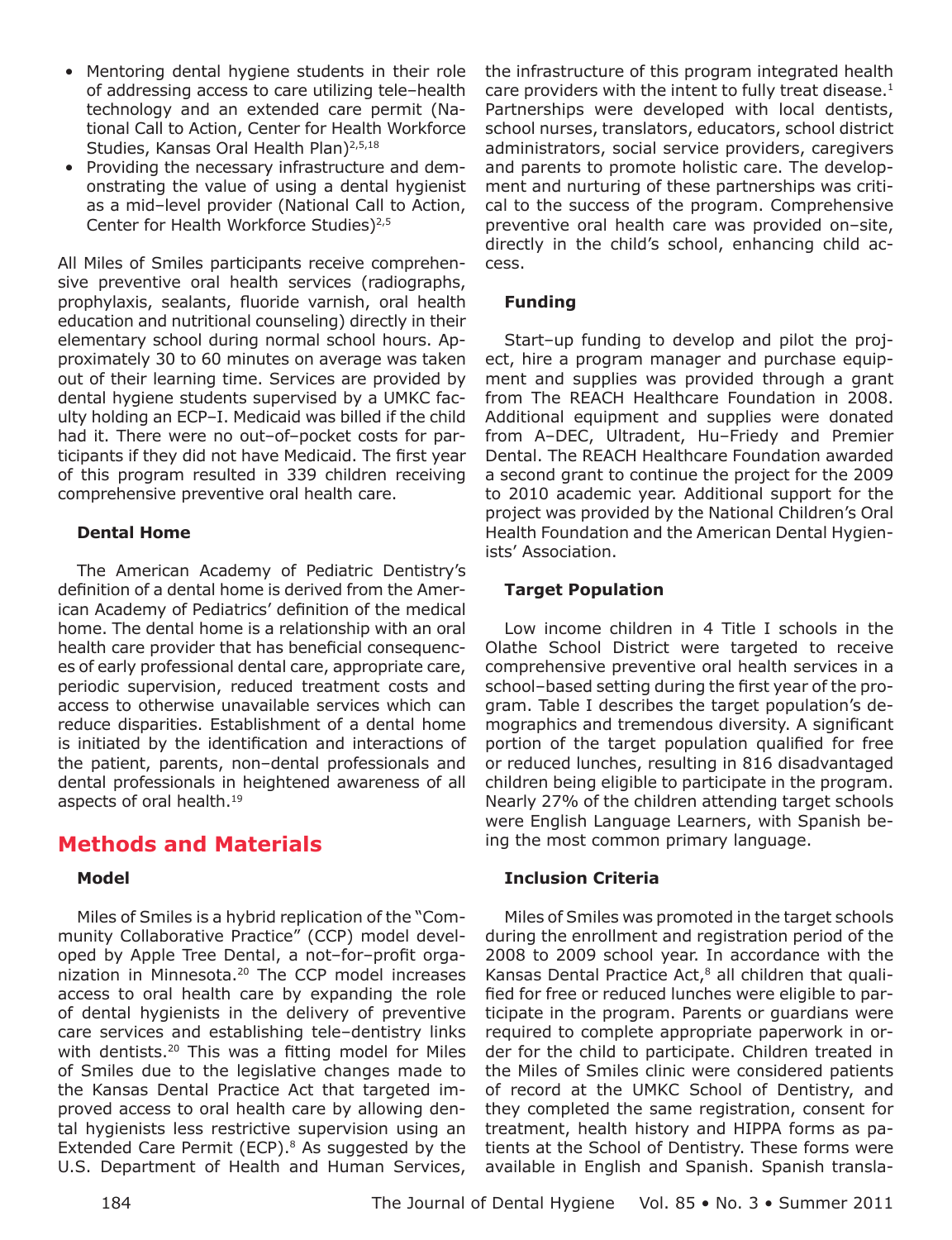- Mentoring dental hygiene students in their role of addressing access to care utilizing tele-health technology and an extended care permit (National Call to Action, Center for Health Workforce Studies, Kansas Oral Health Plan)<sup>2,5,18</sup>
- Providing the necessary infrastructure and demonstrating the value of using a dental hygienist as a mid-level provider (National Call to Action, Center for Health Workforce Studies)<sup>2,5</sup>

All Miles of Smiles participants receive comprehensive preventive oral health services (radiographs, prophylaxis, sealants, fluoride varnish, oral health education and nutritional counseling) directly in their elementary school during normal school hours. Approximately 30 to 60 minutes on average was taken out of their learning time. Services are provided by dental hygiene students supervised by a UMKC faculty holding an ECP-I. Medicaid was billed if the child had it. There were no out-of-pocket costs for participants if they did not have Medicaid. The first year of this program resulted in 339 children receiving comprehensive preventive oral health care.

#### **Dental Home**

The American Academy of Pediatric Dentistry's definition of a dental home is derived from the American Academy of Pediatrics' definition of the medical home. The dental home is a relationship with an oral health care provider that has beneficial consequences of early professional dental care, appropriate care, periodic supervision, reduced treatment costs and access to otherwise unavailable services which can reduce disparities. Establishment of a dental home is initiated by the identification and interactions of the patient, parents, non-dental professionals and dental professionals in heightened awareness of all aspects of oral health.<sup>19</sup>

# **Methods and Materials**

#### **Model**

Miles of Smiles is a hybrid replication of the "Community Collaborative Practice" (CCP) model developed by Apple Tree Dental, a not-for-profit organization in Minnesota.<sup>20</sup> The CCP model increases access to oral health care by expanding the role of dental hygienists in the delivery of preventive care services and establishing tele-dentistry links with dentists.<sup>20</sup> This was a fitting model for Miles of Smiles due to the legislative changes made to the Kansas Dental Practice Act that targeted improved access to oral health care by allowing dental hygienists less restrictive supervision using an Extended Care Permit (ECP).<sup>8</sup> As suggested by the U.S. Department of Health and Human Services, the infrastructure of this program integrated health care providers with the intent to fully treat disease.<sup>1</sup> Partnerships were developed with local dentists, school nurses, translators, educators, school district administrators, social service providers, caregivers and parents to promote holistic care. The development and nurturing of these partnerships was critical to the success of the program. Comprehensive preventive oral health care was provided on-site, directly in the child's school, enhancing child access.

#### **Funding**

Start-up funding to develop and pilot the project, hire a program manager and purchase equipment and supplies was provided through a grant from The REACH Healthcare Foundation in 2008. Additional equipment and supplies were donated from A-DEC, Ultradent, Hu-Friedy and Premier Dental. The REACH Healthcare Foundation awarded a second grant to continue the project for the 2009 to 2010 academic year. Additional support for the project was provided by the National Children's Oral Health Foundation and the American Dental Hygienists' Association.

#### **Target Population**

Low income children in 4 Title I schools in the Olathe School District were targeted to receive comprehensive preventive oral health services in a school-based setting during the first year of the program. Table I describes the target population's demographics and tremendous diversity. A significant portion of the target population qualified for free or reduced lunches, resulting in 816 disadvantaged children being eligible to participate in the program. Nearly 27% of the children attending target schools were English Language Learners, with Spanish being the most common primary language.

#### **Inclusion Criteria**

Miles of Smiles was promoted in the target schools during the enrollment and registration period of the 2008 to 2009 school year. In accordance with the Kansas Dental Practice Act,<sup>8</sup> all children that qualified for free or reduced lunches were eligible to participate in the program. Parents or guardians were required to complete appropriate paperwork in order for the child to participate. Children treated in the Miles of Smiles clinic were considered patients of record at the UMKC School of Dentistry, and they completed the same registration, consent for treatment, health history and HIPPA forms as patients at the School of Dentistry. These forms were available in English and Spanish. Spanish transla-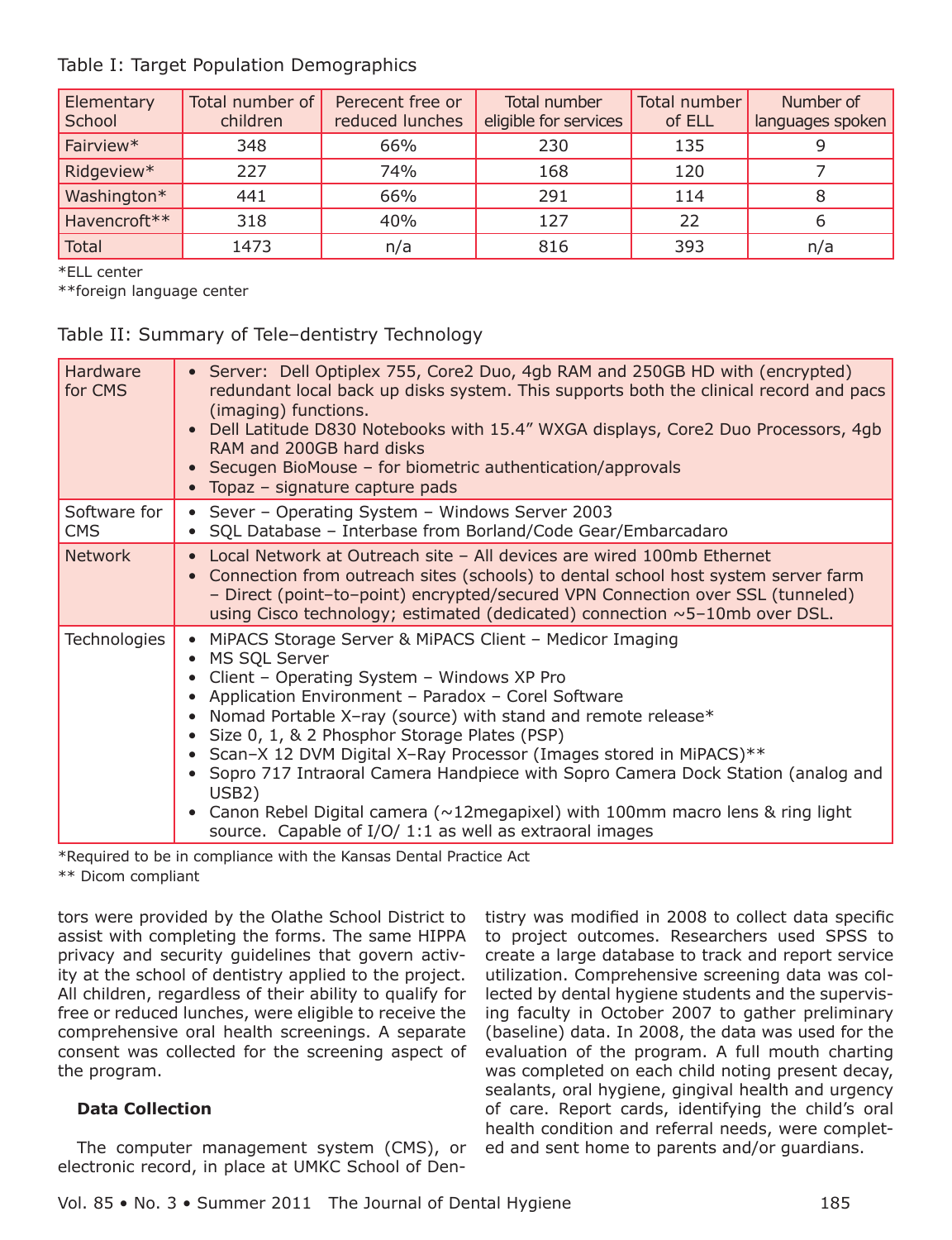#### Table I: Target Population Demographics

| Elementary<br>School | Total number of<br>children | Perecent free or<br>reduced lunches | Total number<br>eligible for services | Total number<br>of ELL | Number of<br>languages spoken |
|----------------------|-----------------------------|-------------------------------------|---------------------------------------|------------------------|-------------------------------|
| Fairview*            | 348                         | 66%                                 | 230                                   | 135                    |                               |
| Ridgeview*           | 227                         | 74%                                 | 168                                   | 120                    |                               |
| Washington*          | 441                         | 66%                                 | 291                                   | 114                    | 8                             |
| Havencroft**         | 318                         | 40%                                 | 127                                   | 22                     | O                             |
| <b>Total</b>         | 1473                        | n/a                                 | 816                                   | 393                    | n/a                           |

\*ELL center

\*\*foreign language center

#### Table II: Summary of Tele-dentistry Technology

| Hardware<br>for CMS        | Server: Dell Optiplex 755, Core2 Duo, 4gb RAM and 250GB HD with (encrypted)<br>redundant local back up disks system. This supports both the clinical record and pacs<br>(imaging) functions.<br>Dell Latitude D830 Notebooks with 15.4" WXGA displays, Core2 Duo Processors, 4gb<br>RAM and 200GB hard disks<br>• Secugen BioMouse – for biometric authentication/approvals<br>• Topaz - signature capture pads                                                                                                                                                                                                                            |
|----------------------------|--------------------------------------------------------------------------------------------------------------------------------------------------------------------------------------------------------------------------------------------------------------------------------------------------------------------------------------------------------------------------------------------------------------------------------------------------------------------------------------------------------------------------------------------------------------------------------------------------------------------------------------------|
| Software for<br><b>CMS</b> | • Sever - Operating System - Windows Server 2003<br>SQL Database - Interbase from Borland/Code Gear/Embarcadaro                                                                                                                                                                                                                                                                                                                                                                                                                                                                                                                            |
| <b>Network</b>             | • Local Network at Outreach site - All devices are wired 100mb Ethernet<br>• Connection from outreach sites (schools) to dental school host system server farm<br>- Direct (point-to-point) encrypted/secured VPN Connection over SSL (tunneled)<br>using Cisco technology; estimated (dedicated) connection ~5-10mb over DSL.                                                                                                                                                                                                                                                                                                             |
| <b>Technologies</b>        | • MiPACS Storage Server & MiPACS Client - Medicor Imaging<br>• MS SQL Server<br>• Client - Operating System - Windows XP Pro<br>• Application Environment - Paradox - Corel Software<br>• Nomad Portable X-ray (source) with stand and remote release*<br>• Size 0, 1, & 2 Phosphor Storage Plates (PSP)<br>• Scan-X 12 DVM Digital X-Ray Processor (Images stored in MiPACS)**<br>Sopro 717 Intraoral Camera Handpiece with Sopro Camera Dock Station (analog and<br>USB <sub>2</sub> )<br>Canon Rebel Digital camera ( $\sim$ 12megapixel) with 100mm macro lens & ring light<br>source. Capable of I/O/ 1:1 as well as extraoral images |

\*Required to be in compliance with the Kansas Dental Practice Act \*\* Dicom compliant

tors were provided by the Olathe School District to assist with completing the forms. The same HIPPA privacy and security guidelines that govern activity at the school of dentistry applied to the project. All children, regardless of their ability to qualify for free or reduced lunches, were eligible to receive the comprehensive oral health screenings. A separate consent was collected for the screening aspect of the program.

#### **Data Collection**

The computer management system (CMS), or electronic record, in place at UMKC School of Den-

tistry was modified in 2008 to collect data specific to project outcomes. Researchers used SPSS to create a large database to track and report service utilization. Comprehensive screening data was collected by dental hygiene students and the supervising faculty in October 2007 to gather preliminary (baseline) data. In 2008, the data was used for the evaluation of the program. A full mouth charting was completed on each child noting present decay, sealants, oral hygiene, gingival health and urgency of care. Report cards, identifying the child's oral health condition and referral needs, were completed and sent home to parents and/or guardians.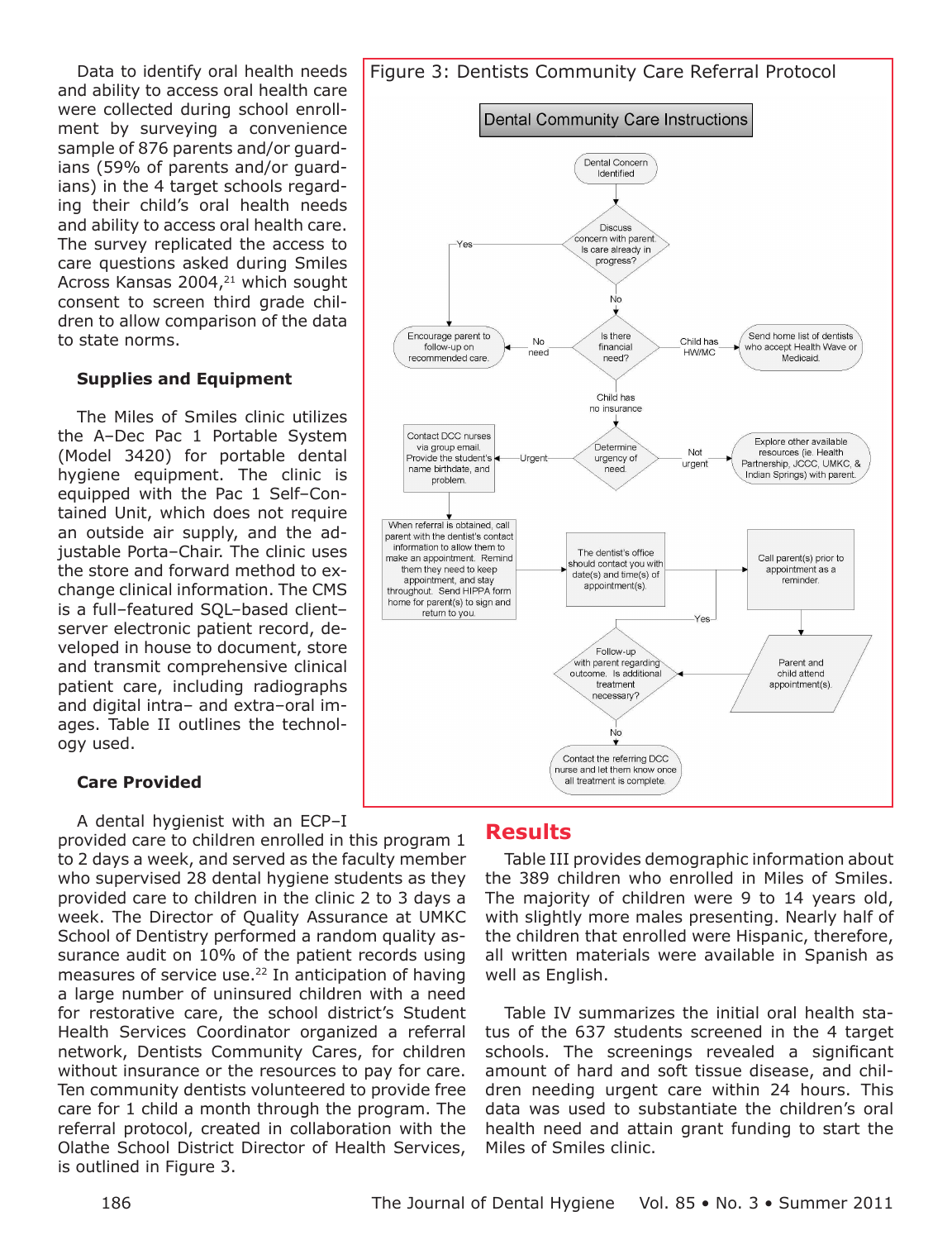Data to identify oral health needs and ability to access oral health care were collected during school enrollment by surveying a convenience sample of 876 parents and/or quardians (59% of parents and/or quardians) in the 4 target schools regarding their child's oral health needs and ability to access oral health care. The survey replicated the access to care questions asked during Smiles Across Kansas 2004,<sup>21</sup> which sought consent to screen third grade children to allow comparison of the data to state norms.

#### **Supplies and Equipment**

The Miles of Smiles clinic utilizes the A-Dec Pac 1 Portable System (Model 3420) for portable dental hygiene equipment. The clinic is equipped with the Pac 1 Self-Contained Unit, which does not require an outside air supply, and the adjustable Porta-Chair. The clinic uses the store and forward method to exchange clinical information. The CMS is a full-featured SOL-based clientserver electronic patient record, developed in house to document, store and transmit comprehensive clinical patient care, including radiographs and digital intra- and extra-oral images. Table II outlines the technoloav used.

#### **Care Provided**

A dental hygienist with an ECP-I

provided care to children enrolled in this program 1 to 2 days a week, and served as the faculty member who supervised 28 dental hygiene students as they provided care to children in the clinic 2 to 3 days a week. The Director of Quality Assurance at UMKC School of Dentistry performed a random quality assurance audit on 10% of the patient records using measures of service use.<sup>22</sup> In anticipation of having a large number of uninsured children with a need for restorative care, the school district's Student Health Services Coordinator organized a referral network, Dentists Community Cares, for children without insurance or the resources to pay for care. Ten community dentists volunteered to provide free care for 1 child a month through the program. The referral protocol, created in collaboration with the Olathe School District Director of Health Services, is outlined in Figure 3.



#### **Results**

Table III provides demographic information about the 389 children who enrolled in Miles of Smiles. The majority of children were 9 to 14 years old, with slightly more males presenting. Nearly half of the children that enrolled were Hispanic, therefore, all written materials were available in Spanish as well as English.

Table IV summarizes the initial oral health status of the 637 students screened in the 4 target schools. The screenings revealed a significant amount of hard and soft tissue disease, and children needing urgent care within 24 hours. This data was used to substantiate the children's oral health need and attain grant funding to start the Miles of Smiles clinic.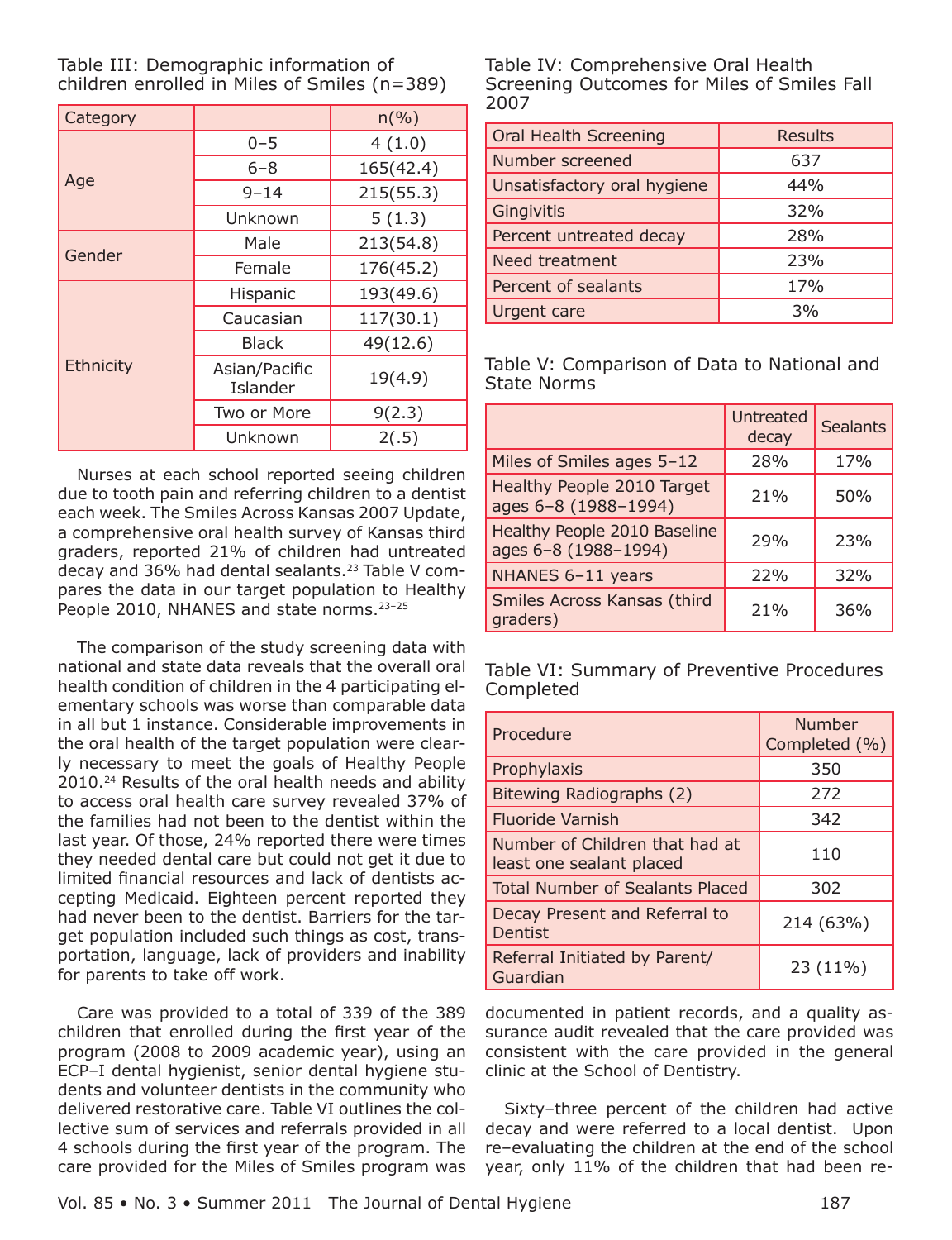| Table III: Demographic information of          |  |
|------------------------------------------------|--|
| children enrolled in Miles of Smiles $(n=389)$ |  |

| Category  |                           | $n(\%)$   |  |
|-----------|---------------------------|-----------|--|
|           | $0 - 5$                   | 4(1.0)    |  |
|           | $6 - 8$                   | 165(42.4) |  |
| Age       | $9 - 14$                  | 215(55.3) |  |
|           | Unknown                   | 5(1.3)    |  |
| Gender    | Male                      | 213(54.8) |  |
|           | Female                    | 176(45.2) |  |
|           | Hispanic                  | 193(49.6) |  |
|           | Caucasian                 | 117(30.1) |  |
|           | <b>Black</b>              | 49(12.6)  |  |
| Ethnicity | Asian/Pacific<br>Islander | 19(4.9)   |  |
|           | Two or More               | 9(2.3)    |  |
|           | Unknown                   | 2(.5)     |  |

Nurses at each school reported seeing children due to tooth pain and referring children to a dentist each week. The Smiles Across Kansas 2007 Update, a comprehensive oral health survey of Kansas third graders, reported 21% of children had untreated decay and 36% had dental sealants.<sup>23</sup> Table V compares the data in our target population to Healthy People 2010, NHANES and state norms.<sup>23-25</sup>

The comparison of the study screening data with national and state data reveals that the overall oral health condition of children in the 4 participating elementary schools was worse than comparable data in all but 1 instance. Considerable improvements in the oral health of the target population were clearly necessary to meet the goals of Healthy People 2010.<sup>24</sup> Results of the oral health needs and ability to access oral health care survey revealed 37% of the families had not been to the dentist within the last year. Of those, 24% reported there were times they needed dental care but could not get it due to limited financial resources and lack of dentists accepting Medicaid. Eighteen percent reported they had never been to the dentist. Barriers for the target population included such things as cost, transportation, language, lack of providers and inability for parents to take off work.

Care was provided to a total of 339 of the 389 children that enrolled during the first year of the program (2008 to 2009 academic year), using an ECP-I dental hygienist, senior dental hygiene students and volunteer dentists in the community who delivered restorative care. Table VI outlines the collective sum of services and referrals provided in all 4 schools during the first year of the program. The care provided for the Miles of Smiles program was Table IV: Comprehensive Oral Health Screening Outcomes for Miles of Smiles Fall 2007

| <b>Oral Health Screening</b> | <b>Results</b> |  |
|------------------------------|----------------|--|
| Number screened              | 637            |  |
| Unsatisfactory oral hygiene  | 44%            |  |
| Gingivitis                   | 32%            |  |
| Percent untreated decay      | 28%            |  |
| Need treatment               | 23%            |  |
| Percent of sealants          | 17%            |  |
| Urgent care                  | 3%             |  |

Table V: Comparison of Data to National and **State Norms** 

|                                                      | <b>Untreated</b><br>decay | <b>Sealants</b> |
|------------------------------------------------------|---------------------------|-----------------|
| Miles of Smiles ages 5-12                            | 28%                       | 17%             |
| Healthy People 2010 Target<br>ages 6-8 (1988-1994)   | 21%                       | 50%             |
| Healthy People 2010 Baseline<br>ages 6-8 (1988-1994) | 29%                       | 23%             |
| NHANES 6-11 years                                    | 22%                       | 32%             |
| Smiles Across Kansas (third<br>graders)              | 21%                       | 36%             |

Table VI: Summary of Preventive Procedures Completed

| Procedure                                                  | <b>Number</b><br>Completed (%) |
|------------------------------------------------------------|--------------------------------|
| Prophylaxis                                                | 350                            |
| Bitewing Radiographs (2)                                   | 272                            |
| <b>Fluoride Varnish</b>                                    | 342                            |
| Number of Children that had at<br>least one sealant placed | 110                            |
| <b>Total Number of Sealants Placed</b>                     | 302                            |
| Decay Present and Referral to<br>Dentist                   | 214 (63%)                      |
| Referral Initiated by Parent/<br>Guardian                  | 23 (11%)                       |

documented in patient records, and a quality assurance audit revealed that the care provided was consistent with the care provided in the general clinic at the School of Dentistry.

Sixty-three percent of the children had active decay and were referred to a local dentist. Upon re-evaluating the children at the end of the school year, only 11% of the children that had been re-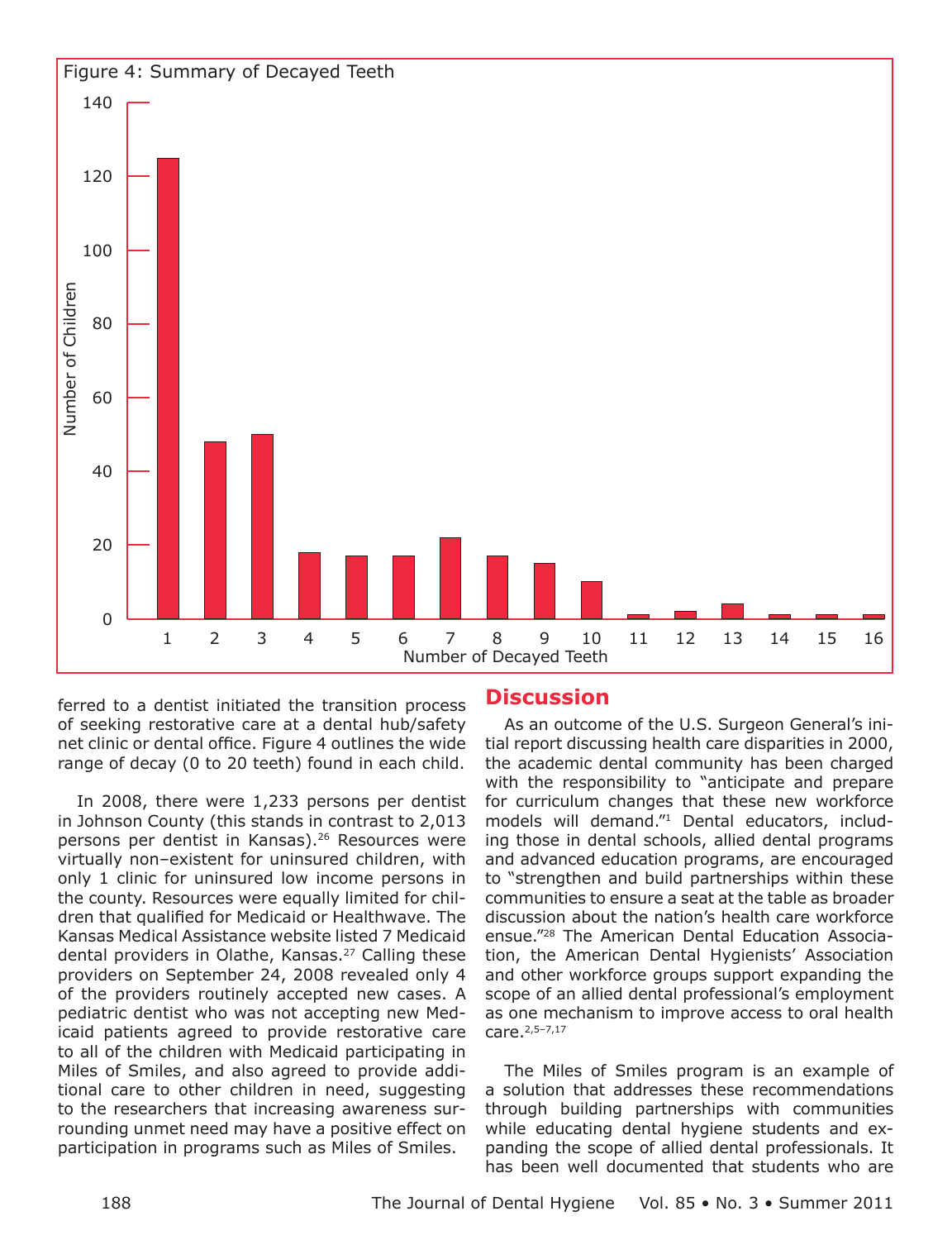

ferred to a dentist initiated the transition process of seeking restorative care at a dental hub/safety net clinic or dental office. Figure 4 outlines the wide range of decay (0 to 20 teeth) found in each child.

In 2008, there were 1,233 persons per dentist in Johnson County (this stands in contrast to 2,013 persons per dentist in Kansas).<sup>26</sup> Resources were virtually non-existent for uninsured children, with only 1 clinic for uninsured low income persons in the county. Resources were equally limited for children that qualified for Medicaid or Healthwave. The Kansas Medical Assistance website listed 7 Medicaid dental providers in Olathe, Kansas.<sup>27</sup> Calling these providers on September 24, 2008 revealed only 4 of the providers routinely accepted new cases. A pediatric dentist who was not accepting new Medicaid patients agreed to provide restorative care to all of the children with Medicaid participating in Miles of Smiles, and also agreed to provide additional care to other children in need, suggesting to the researchers that increasing awareness surrounding unmet need may have a positive effect on participation in programs such as Miles of Smiles.

## **Discussion**

As an outcome of the U.S. Surgeon General's initial report discussing health care disparities in 2000, the academic dental community has been charged with the responsibility to "anticipate and prepare for curriculum changes that these new workforce models will demand."1 Dental educators, including those in dental schools, allied dental programs and advanced education programs, are encouraged to "strengthen and build partnerships within these communities to ensure a seat at the table as broader discussion about the nation's health care workforce ensue."<sup>28</sup> The American Dental Education Association, the American Dental Hygienists' Association and other workforce groups support expanding the scope of an allied dental professional's employment as one mechanism to improve access to oral health care. 2,5-7,17

The Miles of Smiles program is an example of a solution that addresses these recommendations through building partnerships with communities while educating dental hygiene students and expanding the scope of allied dental professionals. It has been well documented that students who are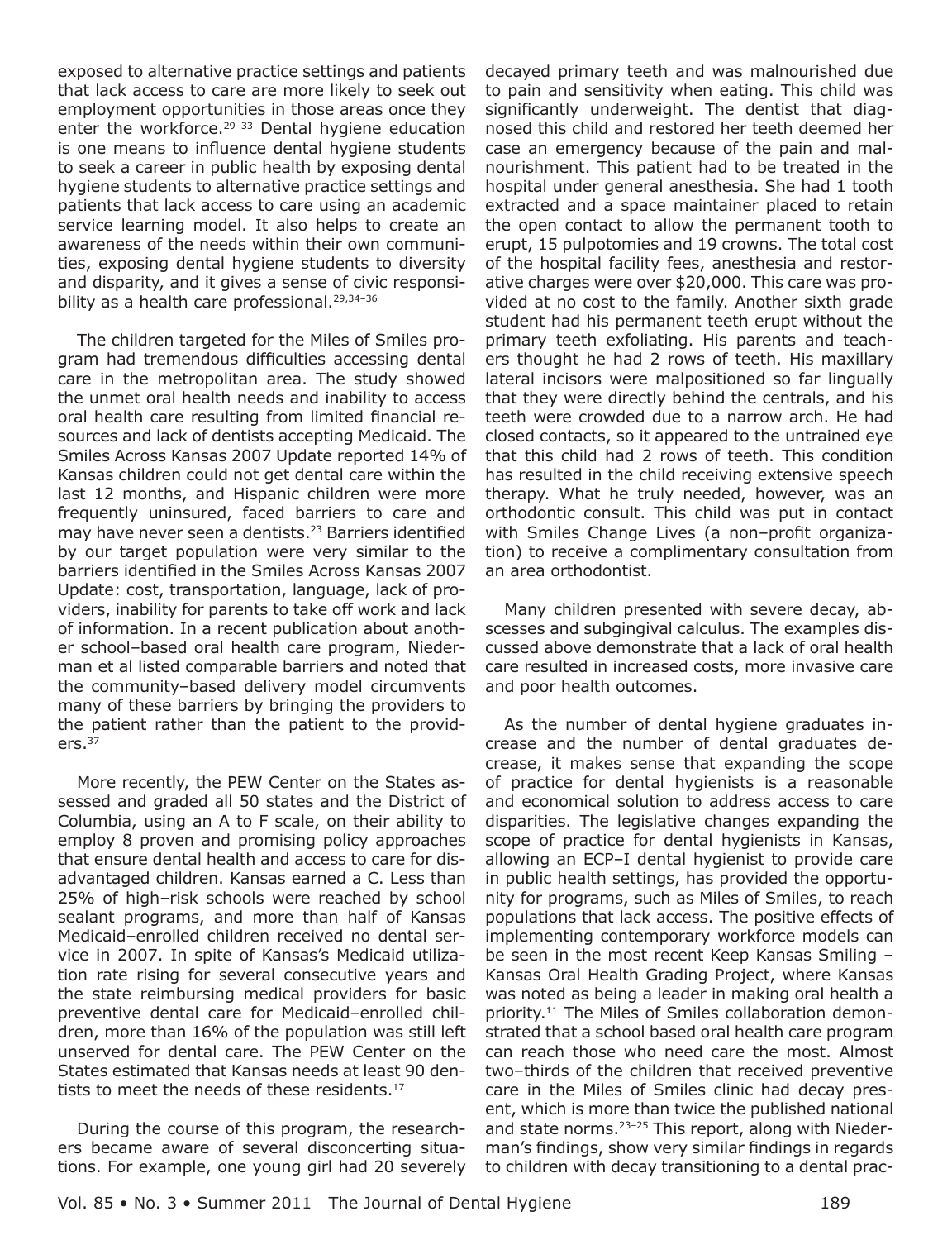exposed to alternative practice settings and patients that lack access to care are more likely to seek out employment opportunities in those areas once they enter the workforce.<sup>29-33</sup> Dental hygiene education is one means to influence dental hygiene students to seek a career in public health by exposing dental hygiene students to alternative practice settings and patients that lack access to care using an academic service learning model. It also helps to create an awareness of the needs within their own communities, exposing dental hygiene students to diversity and disparity, and it gives a sense of civic responsibility as a health care professional.<sup>29,34-36</sup>

The children targeted for the Miles of Smiles program had tremendous difficulties accessing dental care in the metropolitan area. The study showed the unmet oral health needs and inability to access oral health care resulting from limited financial resources and lack of dentists accepting Medicaid. The Smiles Across Kansas 2007 Update reported 14% of Kansas children could not get dental care within the last 12 months, and Hispanic children were more frequently uninsured, faced barriers to care and may have never seen a dentists.<sup>23</sup> Barriers identified by our target population were very similar to the barriers identified in the Smiles Across Kansas 2007 Update: cost, transportation, language, lack of providers, inability for parents to take off work and lack of information. In a recent publication about another school-based oral health care program, Niederman et al listed comparable barriers and noted that the community-based delivery model circumvents many of these barriers by bringing the providers to the patient rather than the patient to the provid $ers<sup>37</sup>$ 

More recently, the PEW Center on the States assessed and graded all 50 states and the District of Columbia, using an A to F scale, on their ability to employ 8 proven and promising policy approaches that ensure dental health and access to care for disadvantaged children. Kansas earned a C. Less than 25% of high-risk schools were reached by school sealant programs, and more than half of Kansas Medicaid-enrolled children received no dental service in 2007. In spite of Kansas's Medicaid utilization rate rising for several consecutive years and the state reimbursing medical providers for basic preventive dental care for Medicaid-enrolled children, more than 16% of the population was still left unserved for dental care. The PEW Center on the States estimated that Kansas needs at least 90 dentists to meet the needs of these residents.<sup>17</sup>

During the course of this program, the researchers became aware of several disconcerting situations. For example, one young girl had 20 severely decayed primary teeth and was malnourished due to pain and sensitivity when eating. This child was significantly underweight. The dentist that diagnosed this child and restored her teeth deemed her case an emergency because of the pain and malnourishment. This patient had to be treated in the hospital under general anesthesia. She had 1 tooth extracted and a space maintainer placed to retain the open contact to allow the permanent tooth to erupt, 15 pulpotomies and 19 crowns. The total cost of the hospital facility fees, anesthesia and restorative charges were over \$20,000. This care was provided at no cost to the family. Another sixth grade student had his permanent teeth erupt without the primary teeth exfoliating. His parents and teachers thought he had 2 rows of teeth. His maxillary lateral incisors were malpositioned so far lingually that they were directly behind the centrals, and his teeth were crowded due to a narrow arch. He had closed contacts, so it appeared to the untrained eye that this child had 2 rows of teeth. This condition has resulted in the child receiving extensive speech therapy. What he truly needed, however, was an orthodontic consult. This child was put in contact with Smiles Change Lives (a non-profit organization) to receive a complimentary consultation from an area orthodontist.

Many children presented with severe decay, abscesses and subgingival calculus. The examples discussed above demonstrate that a lack of oral health care resulted in increased costs, more invasive care and poor health outcomes.

As the number of dental hygiene graduates increase and the number of dental graduates decrease, it makes sense that expanding the scope of practice for dental hygienists is a reasonable and economical solution to address access to care disparities. The legislative changes expanding the scope of practice for dental hygienists in Kansas, allowing an ECP-I dental hygienist to provide care in public health settings, has provided the opportunity for programs, such as Miles of Smiles, to reach populations that lack access. The positive effects of implementing contemporary workforce models can be seen in the most recent Keep Kansas Smiling -Kansas Oral Health Grading Project, where Kansas was noted as being a leader in making oral health a priority.<sup>11</sup> The Miles of Smiles collaboration demonstrated that a school based oral health care program can reach those who need care the most. Almost two-thirds of the children that received preventive care in the Miles of Smiles clinic had decay present, which is more than twice the published national and state norms.<sup>23-25</sup> This report, along with Niederman's findings, show very similar findings in regards to children with decay transitioning to a dental prac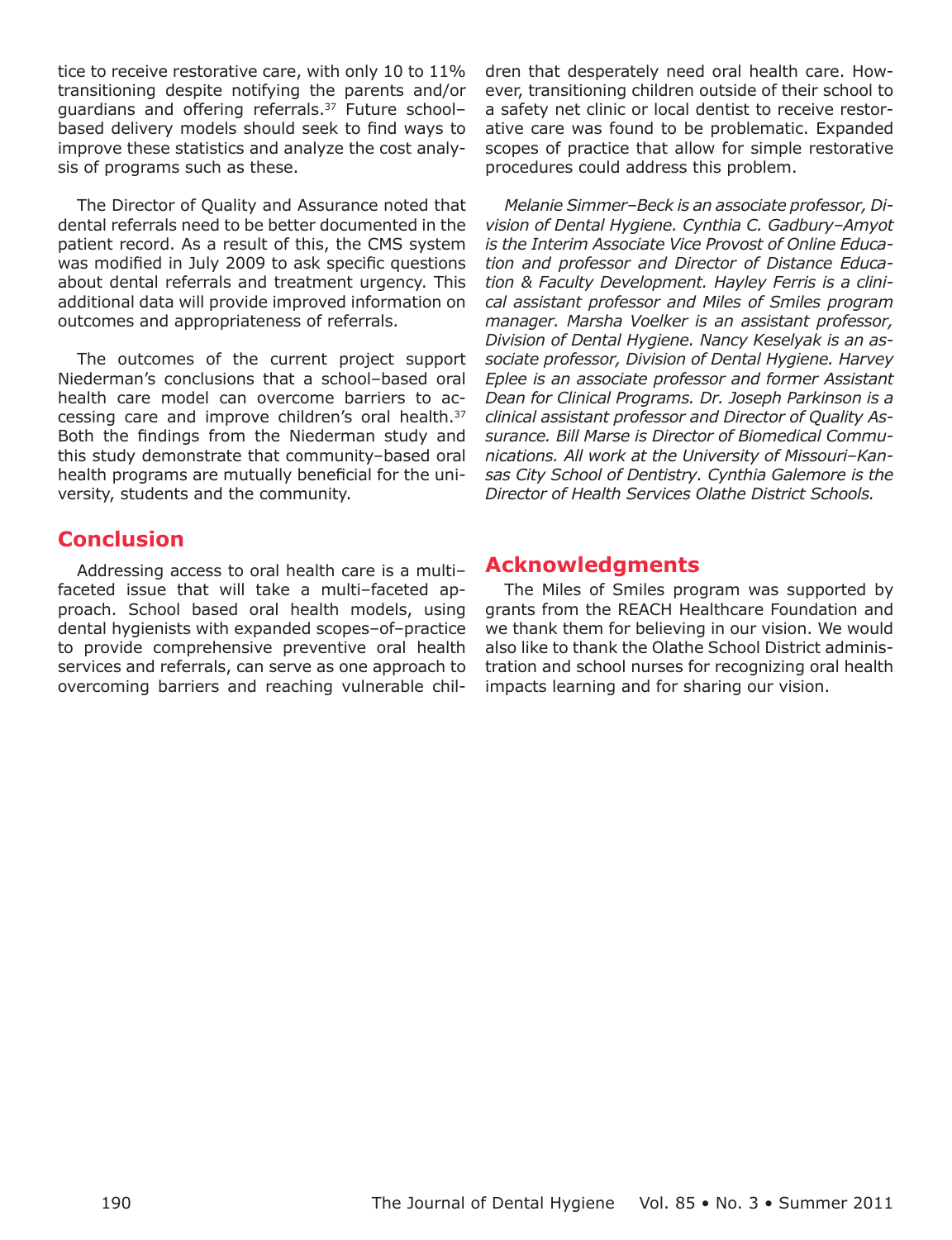tice to receive restorative care, with only 10 to 11% transitioning despite notifying the parents and/or quardians and offering referrals.<sup>37</sup> Future schoolbased delivery models should seek to find ways to improve these statistics and analyze the cost analysis of programs such as these.

The Director of Quality and Assurance noted that dental referrals need to be better documented in the patient record. As a result of this, the CMS system was modified in July 2009 to ask specific questions about dental referrals and treatment urgency. This additional data will provide improved information on outcomes and appropriateness of referrals.

The outcomes of the current project support Niederman's conclusions that a school-based oral health care model can overcome barriers to accessing care and improve children's oral health.<sup>37</sup> Both the findings from the Niederman study and this study demonstrate that community-based oral health programs are mutually beneficial for the university, students and the community.

# **Conclusion**

Addressing access to oral health care is a multifaceted issue that will take a multi-faceted approach. School based oral health models, using dental hygienists with expanded scopes-of-practice to provide comprehensive preventive oral health services and referrals, can serve as one approach to overcoming barriers and reaching vulnerable children that desperately need oral health care. However, transitioning children outside of their school to a safety net clinic or local dentist to receive restorative care was found to be problematic. Expanded scopes of practice that allow for simple restorative procedures could address this problem.

Melanie Simmer-Beck is an associate professor, Division of Dental Hygiene. Cynthia C. Gadbury-Amyot is the Interim Associate Vice Provost of Online Education and professor and Director of Distance Education & Faculty Development. Hayley Ferris is a clinical assistant professor and Miles of Smiles program manager. Marsha Voelker is an assistant professor, Division of Dental Hygiene. Nancy Keselyak is an associate professor, Division of Dental Hygiene. Harvey Eplee is an associate professor and former Assistant Dean for Clinical Programs. Dr. Joseph Parkinson is a clinical assistant professor and Director of Ouality Assurance. Bill Marse is Director of Biomedical Communications. All work at the University of Missouri-Kansas City School of Dentistry. Cynthia Galemore is the Director of Health Services Olathe District Schools.

# **Acknowledgments**

The Miles of Smiles program was supported by grants from the REACH Healthcare Foundation and we thank them for believing in our vision. We would also like to thank the Olathe School District administration and school nurses for recognizing oral health impacts learning and for sharing our vision.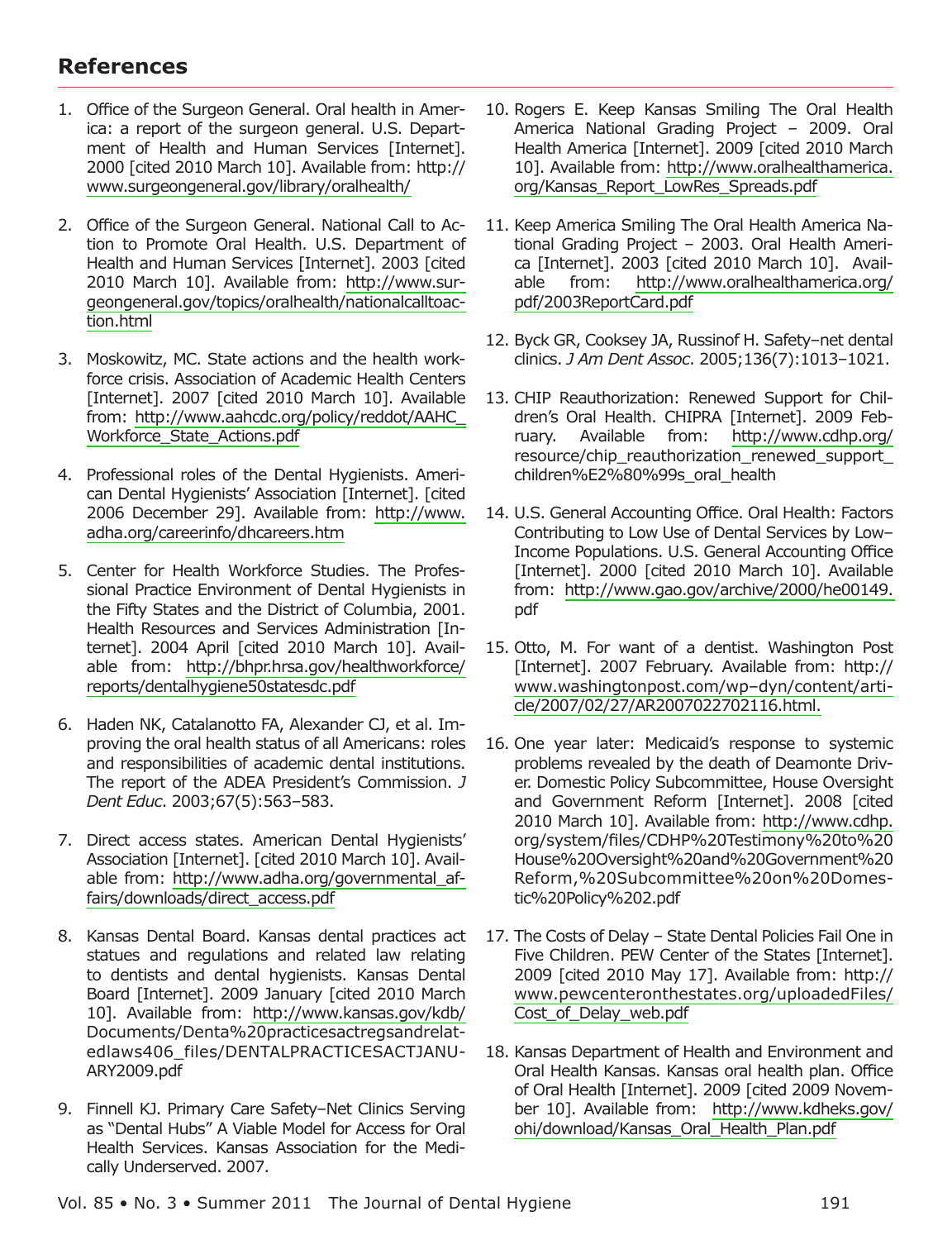# **References**

- 1. Office of the Surgeon General. Oral health in America: a report of the surgeon general. U.S. Department of Health and Human Services [Internet]. 2000 [cited 2010 March 10]. Available from: http:// www.surgeongeneral.gov/library/oralhealth/
- 2. Office of the Surgeon General. National Call to Action to Promote Oral Health. U.S. Department of Health and Human Services [Internet]. 2003 [cited] 2010 March 10]. Available from: http://www.surgeongeneral.gov/topics/oralhealth/nationalcalltoaction.html
- 3. Moskowitz, MC. State actions and the health workforce crisis. Association of Academic Health Centers [Internet]. 2007 [cited 2010 March 10]. Available from: http://www.aahcdc.org/policy/reddot/AAHC Workforce State Actions.pdf
- 4. Professional roles of the Dental Hygienists. American Dental Hygienists' Association [Internet]. [cited] 2006 December 29]. Available from: http://www. adha.org/careerinfo/dhcareers.htm
- 5. Center for Health Workforce Studies. The Professional Practice Environment of Dental Hygienists in the Fifty States and the District of Columbia, 2001. Health Resources and Services Administration [Internet]. 2004 April [cited 2010 March 10]. Available from: http://bhpr.hrsa.gov/healthworkforce/ reports/dentalhygiene50statesdc.pdf
- 6. Haden NK, Catalanotto FA, Alexander CJ, et al. Improving the oral health status of all Americans: roles and responsibilities of academic dental institutions. The report of the ADEA President's Commission. J Dent Educ. 2003;67(5):563-583.
- 7. Direct access states. American Dental Hygienists' Association [Internet]. [cited 2010 March 10]. Available from: http://www.adha.org/governmental affairs/downloads/direct\_access.pdf
- 8. Kansas Dental Board. Kansas dental practices act statues and regulations and related law relating to dentists and dental hygienists. Kansas Dental Board [Internet]. 2009 January [cited 2010 March 10]. Available from: http://www.kansas.gov/kdb/ Documents/Denta%20practicesactregsandrelatedlaws406\_files/DENTALPRACTICESACTJANU-ARY2009.pdf
- 9. Finnell KJ. Primary Care Safety-Net Clinics Serving as "Dental Hubs" A Viable Model for Access for Oral Health Services. Kansas Association for the Medically Underserved. 2007.
- 10. Rogers E. Keep Kansas Smiling The Oral Health America National Grading Project - 2009. Oral Health America [Internet]. 2009 [cited 2010 March 10]. Available from: http://www.oralhealthamerica. org/Kansas Report LowRes Spreads.pdf
- 11. Keep America Smiling The Oral Health America National Grading Project - 2003. Oral Health America [Internet]. 2003 [cited 2010 March 10]. Availhttp://www.oralhealthamerica.org/ able from: pdf/2003ReportCard.pdf
- 12. Byck GR, Cooksey JA, Russinof H. Safety-net dental clinics. J Am Dent Assoc. 2005;136(7):1013-1021.
- 13. CHIP Reauthorization: Renewed Support for Children's Oral Health. CHIPRA [Internet]. 2009 February. Available from: http://www.cdhp.org/ resource/chip reauthorization renewed support children%E2%80%99s\_oral\_health
- 14. U.S. General Accounting Office. Oral Health: Factors Contributing to Low Use of Dental Services by Low-Income Populations. U.S. General Accounting Office [Internet]. 2000 [cited 2010 March 10]. Available from: http://www.gao.gov/archive/2000/he00149. pdf
- 15. Otto, M. For want of a dentist. Washington Post [Internet]. 2007 February. Available from: http:// www.washingtonpost.com/wp-dyn/content/article/2007/02/27/AR2007022702116.html.
- 16. One year later: Medicaid's response to systemic problems revealed by the death of Deamonte Driver. Domestic Policy Subcommittee, House Oversight and Government Reform [Internet]. 2008 [cited 2010 March 101. Available from: http://www.cdhp. org/system/files/CDHP%20Testimony%20to%20 House%20Oversight%20and%20Government%20 Reform,%20Subcommittee%20on%20Domestic%20Policy%202.pdf
- 17. The Costs of Delay State Dental Policies Fail One in Five Children. PEW Center of the States [Internet]. 2009 [cited 2010 May 17]. Available from: http:// www.pewcenteronthestates.org/uploadedFiles/ Cost\_of\_Delay\_web.pdf
- 18. Kansas Department of Health and Environment and Oral Health Kansas. Kansas oral health plan. Office of Oral Health [Internet]. 2009 [cited 2009 November 10]. Available from: http://www.kdheks.gov/ ohi/download/Kansas\_Oral\_Health\_Plan.pdf